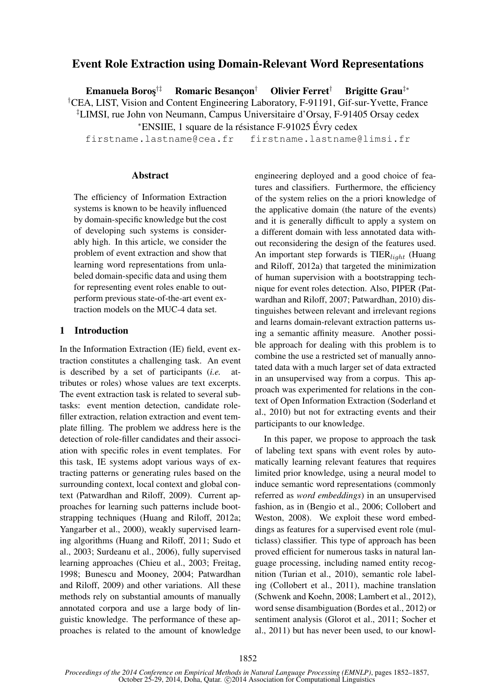# Event Role Extraction using Domain-Relevant Word Representations

Emanuela Boros<sup>†‡</sup> Romaric Besançon<sup>†</sup> Olivier Ferret<sup>†</sup> Brigitte Grau<sup>‡∗</sup> †CEA, LIST, Vision and Content Engineering Laboratory, F-91191, Gif-sur-Yvette, France ‡LIMSI, rue John von Neumann, Campus Universitaire d'Orsay, F-91405 Orsay cedex

 $*$ ENSIIE, 1 square de la résistance F-91025 Évry cedex

firstname.lastname@cea.fr firstname.lastname@limsi.fr

#### Abstract

The efficiency of Information Extraction systems is known to be heavily influenced by domain-specific knowledge but the cost of developing such systems is considerably high. In this article, we consider the problem of event extraction and show that learning word representations from unlabeled domain-specific data and using them for representing event roles enable to outperform previous state-of-the-art event extraction models on the MUC-4 data set.

#### 1 Introduction

In the Information Extraction (IE) field, event extraction constitutes a challenging task. An event is described by a set of participants (*i.e.* attributes or roles) whose values are text excerpts. The event extraction task is related to several subtasks: event mention detection, candidate rolefiller extraction, relation extraction and event template filling. The problem we address here is the detection of role-filler candidates and their association with specific roles in event templates. For this task, IE systems adopt various ways of extracting patterns or generating rules based on the surrounding context, local context and global context (Patwardhan and Riloff, 2009). Current approaches for learning such patterns include bootstrapping techniques (Huang and Riloff, 2012a; Yangarber et al., 2000), weakly supervised learning algorithms (Huang and Riloff, 2011; Sudo et al., 2003; Surdeanu et al., 2006), fully supervised learning approaches (Chieu et al., 2003; Freitag, 1998; Bunescu and Mooney, 2004; Patwardhan and Riloff, 2009) and other variations. All these methods rely on substantial amounts of manually annotated corpora and use a large body of linguistic knowledge. The performance of these approaches is related to the amount of knowledge engineering deployed and a good choice of features and classifiers. Furthermore, the efficiency of the system relies on the a priori knowledge of the applicative domain (the nature of the events) and it is generally difficult to apply a system on a different domain with less annotated data without reconsidering the design of the features used. An important step forwards is  $TIER<sub>light</sub>$  (Huang and Riloff, 2012a) that targeted the minimization of human supervision with a bootstrapping technique for event roles detection. Also, PIPER (Patwardhan and Riloff, 2007; Patwardhan, 2010) distinguishes between relevant and irrelevant regions and learns domain-relevant extraction patterns using a semantic affinity measure. Another possible approach for dealing with this problem is to combine the use a restricted set of manually annotated data with a much larger set of data extracted in an unsupervised way from a corpus. This approach was experimented for relations in the context of Open Information Extraction (Soderland et al., 2010) but not for extracting events and their participants to our knowledge.

In this paper, we propose to approach the task of labeling text spans with event roles by automatically learning relevant features that requires limited prior knowledge, using a neural model to induce semantic word representations (commonly referred as *word embeddings*) in an unsupervised fashion, as in (Bengio et al., 2006; Collobert and Weston, 2008). We exploit these word embeddings as features for a supervised event role (multiclass) classifier. This type of approach has been proved efficient for numerous tasks in natural language processing, including named entity recognition (Turian et al., 2010), semantic role labeling (Collobert et al., 2011), machine translation (Schwenk and Koehn, 2008; Lambert et al., 2012), word sense disambiguation (Bordes et al., 2012) or sentiment analysis (Glorot et al., 2011; Socher et al., 2011) but has never been used, to our knowl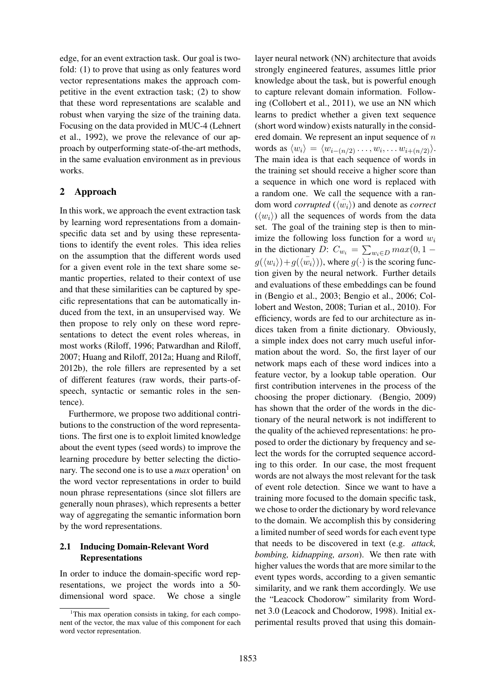edge, for an event extraction task. Our goal is twofold: (1) to prove that using as only features word vector representations makes the approach competitive in the event extraction task; (2) to show that these word representations are scalable and robust when varying the size of the training data. Focusing on the data provided in MUC-4 (Lehnert et al., 1992), we prove the relevance of our approach by outperforming state-of-the-art methods, in the same evaluation environment as in previous works.

# 2 Approach

In this work, we approach the event extraction task by learning word representations from a domainspecific data set and by using these representations to identify the event roles. This idea relies on the assumption that the different words used for a given event role in the text share some semantic properties, related to their context of use and that these similarities can be captured by specific representations that can be automatically induced from the text, in an unsupervised way. We then propose to rely only on these word representations to detect the event roles whereas, in most works (Riloff, 1996; Patwardhan and Riloff, 2007; Huang and Riloff, 2012a; Huang and Riloff, 2012b), the role fillers are represented by a set of different features (raw words, their parts-ofspeech, syntactic or semantic roles in the sentence).

Furthermore, we propose two additional contributions to the construction of the word representations. The first one is to exploit limited knowledge about the event types (seed words) to improve the learning procedure by better selecting the dictionary. The second one is to use a *max* operation<sup>1</sup> on the word vector representations in order to build noun phrase representations (since slot fillers are generally noun phrases), which represents a better way of aggregating the semantic information born by the word representations.

# 2.1 Inducing Domain-Relevant Word Representations

In order to induce the domain-specific word representations, we project the words into a 50 dimensional word space. We chose a single

layer neural network (NN) architecture that avoids strongly engineered features, assumes little prior knowledge about the task, but is powerful enough to capture relevant domain information. Following (Collobert et al., 2011), we use an NN which learns to predict whether a given text sequence (short word window) exists naturally in the considered domain. We represent an input sequence of  $n$ words as  $\langle w_i \rangle = \langle w_{i-(n/2)} \dots, w_i, \dots w_{i+(n/2)} \rangle$ . The main idea is that each sequence of words in the training set should receive a higher score than a sequence in which one word is replaced with a random one. We call the sequence with a random word *corrupted*  $(\langle w_i \rangle)$  and denote as *correct*  $(\langle w_i \rangle)$  all the sequences of words from the data set. The goal of the training step is then to minimize the following loss function for a word  $w_i$ in the dictionary D:  $C_{w_i} = \sum_{w_i \in D} max(0, 1$  $g(\langle w_i \rangle) + g(\langle \overline{w_i} \rangle))$ , where  $g(\cdot)$  is the scoring function given by the neural network. Further details and evaluations of these embeddings can be found in (Bengio et al., 2003; Bengio et al., 2006; Collobert and Weston, 2008; Turian et al., 2010). For efficiency, words are fed to our architecture as indices taken from a finite dictionary. Obviously, a simple index does not carry much useful information about the word. So, the first layer of our network maps each of these word indices into a feature vector, by a lookup table operation. Our first contribution intervenes in the process of the choosing the proper dictionary. (Bengio, 2009) has shown that the order of the words in the dictionary of the neural network is not indifferent to the quality of the achieved representations: he proposed to order the dictionary by frequency and select the words for the corrupted sequence according to this order. In our case, the most frequent words are not always the most relevant for the task of event role detection. Since we want to have a training more focused to the domain specific task, we chose to order the dictionary by word relevance to the domain. We accomplish this by considering a limited number of seed words for each event type that needs to be discovered in text (e.g. *attack, bombing, kidnapping, arson*). We then rate with higher values the words that are more similar to the event types words, according to a given semantic similarity, and we rank them accordingly. We use the "Leacock Chodorow" similarity from Wordnet 3.0 (Leacock and Chodorow, 1998). Initial experimental results proved that using this domain-

<sup>&</sup>lt;sup>1</sup>This max operation consists in taking, for each component of the vector, the max value of this component for each word vector representation.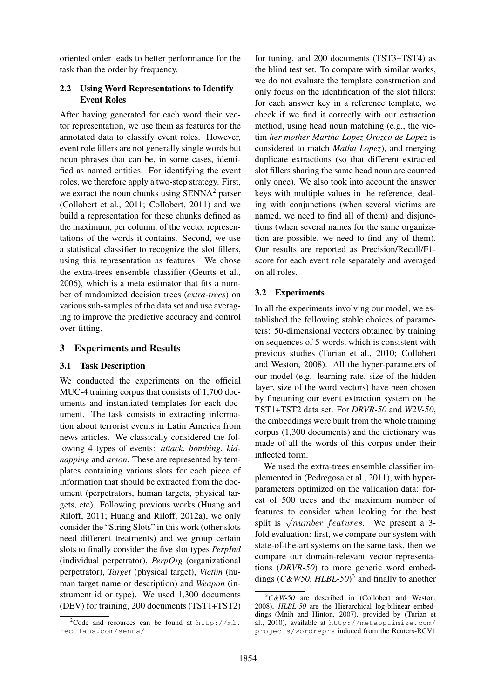oriented order leads to better performance for the task than the order by frequency.

#### 2.2 Using Word Representations to Identify Event Roles

After having generated for each word their vector representation, we use them as features for the annotated data to classify event roles. However, event role fillers are not generally single words but noun phrases that can be, in some cases, identified as named entities. For identifying the event roles, we therefore apply a two-step strategy. First, we extract the noun chunks using  $SENNA<sup>2</sup>$  parser (Collobert et al., 2011; Collobert, 2011) and we build a representation for these chunks defined as the maximum, per column, of the vector representations of the words it contains. Second, we use a statistical classifier to recognize the slot fillers, using this representation as features. We chose the extra-trees ensemble classifier (Geurts et al., 2006), which is a meta estimator that fits a number of randomized decision trees (*extra-trees*) on various sub-samples of the data set and use averaging to improve the predictive accuracy and control over-fitting.

### 3 Experiments and Results

### 3.1 Task Description

We conducted the experiments on the official MUC-4 training corpus that consists of 1,700 documents and instantiated templates for each document. The task consists in extracting information about terrorist events in Latin America from news articles. We classically considered the following 4 types of events: *attack*, *bombing*, *kidnapping* and *arson*. These are represented by templates containing various slots for each piece of information that should be extracted from the document (perpetrators, human targets, physical targets, etc). Following previous works (Huang and Riloff, 2011; Huang and Riloff, 2012a), we only consider the "String Slots" in this work (other slots need different treatments) and we group certain slots to finally consider the five slot types *PerpInd* (individual perpetrator), *PerpOrg* (organizational perpetrator), *Target* (physical target), *Victim* (human target name or description) and *Weapon* (instrument id or type). We used 1,300 documents (DEV) for training, 200 documents (TST1+TST2)

for tuning, and 200 documents (TST3+TST4) as the blind test set. To compare with similar works, we do not evaluate the template construction and only focus on the identification of the slot fillers: for each answer key in a reference template, we check if we find it correctly with our extraction method, using head noun matching (e.g., the victim *her mother Martha Lopez Orozco de Lopez* is considered to match *Matha Lopez*), and merging duplicate extractions (so that different extracted slot fillers sharing the same head noun are counted only once). We also took into account the answer keys with multiple values in the reference, dealing with conjunctions (when several victims are named, we need to find all of them) and disjunctions (when several names for the same organization are possible, we need to find any of them). Our results are reported as Precision/Recall/F1 score for each event role separately and averaged on all roles.

### 3.2 Experiments

In all the experiments involving our model, we established the following stable choices of parameters: 50-dimensional vectors obtained by training on sequences of 5 words, which is consistent with previous studies (Turian et al., 2010; Collobert and Weston, 2008). All the hyper-parameters of our model (e.g. learning rate, size of the hidden layer, size of the word vectors) have been chosen by finetuning our event extraction system on the TST1+TST2 data set. For *DRVR-50* and *W2V-50*, the embeddings were built from the whole training corpus (1,300 documents) and the dictionary was made of all the words of this corpus under their inflected form.

We used the extra-trees ensemble classifier implemented in (Pedregosa et al., 2011), with hyperparameters optimized on the validation data: forest of 500 trees and the maximum number of features to consider when looking for the best split is  $\sqrt{number\_features}$ . We present a 3fold evaluation: first, we compare our system with state-of-the-art systems on the same task, then we compare our domain-relevant vector representations (*DRVR-50*) to more generic word embeddings (*C&W50*, *HLBL-50*) 3 and finally to another

 $^{2}$ Code and resources can be found at http://ml. nec-labs.com/senna/

<sup>3</sup>*C&W-50* are described in (Collobert and Weston, 2008), *HLBL-50* are the Hierarchical log-bilinear embeddings (Mnih and Hinton, 2007), provided by (Turian et al., 2010), available at http://metaoptimize.com/ projects/wordreprs induced from the Reuters-RCV1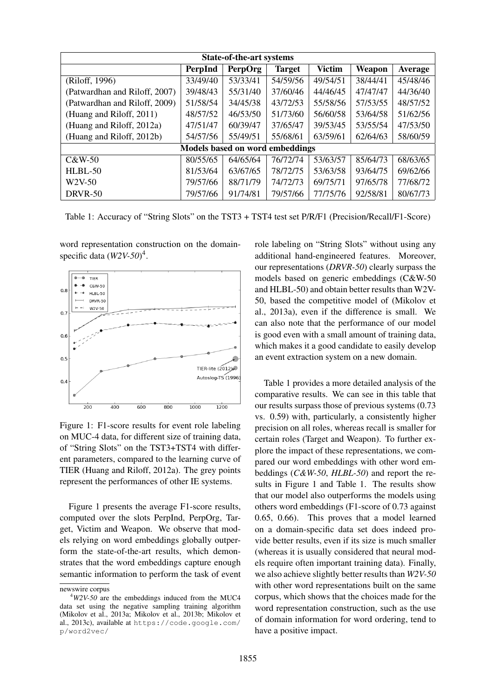| <b>State-of-the-art systems</b>        |          |                |               |               |          |          |
|----------------------------------------|----------|----------------|---------------|---------------|----------|----------|
|                                        | PerpInd  | <b>PerpOrg</b> | <b>Target</b> | <b>Victim</b> | Weapon   | Average  |
| (Riloff, 1996)                         | 33/49/40 | 53/33/41       | 54/59/56      | 49/54/51      | 38/44/41 | 45/48/46 |
| (Patwardhan and Riloff, 2007)          | 39/48/43 | 55/31/40       | 37/60/46      | 44/46/45      | 47/47/47 | 44/36/40 |
| (Patwardhan and Riloff, 2009)          | 51/58/54 | 34/45/38       | 43/72/53      | 55/58/56      | 57/53/55 | 48/57/52 |
| (Huang and Riloff, 2011)               | 48/57/52 | 46/53/50       | 51/73/60      | 56/60/58      | 53/64/58 | 51/62/56 |
| (Huang and Riloff, 2012a)              | 47/51/47 | 60/39/47       | 37/65/47      | 39/53/45      | 53/55/54 | 47/53/50 |
| (Huang and Riloff, 2012b)              | 54/57/56 | 55/49/51       | 55/68/61      | 63/59/61      | 62/64/63 | 58/60/59 |
| <b>Models based on word embeddings</b> |          |                |               |               |          |          |
| C&W-50                                 | 80/55/65 | 64/65/64       | 76/72/74      | 53/63/57      | 85/64/73 | 68/63/65 |
| HLBL-50                                | 81/53/64 | 63/67/65       | 78/72/75      | 53/63/58      | 93/64/75 | 69/62/66 |
| W <sub>2</sub> V-50                    | 79/57/66 | 88/71/79       | 74/72/73      | 69/75/71      | 97/65/78 | 77/68/72 |
| DRVR-50                                | 79/57/66 | 91/74/81       | 79/57/66      | 77/75/76      | 92/58/81 | 80/67/73 |

Table 1: Accuracy of "String Slots" on the TST3 + TST4 test set P/R/F1 (Precision/Recall/F1-Score)

word representation construction on the domainspecific data (*W2V-50*) 4 .



Figure 1: F1-score results for event role labeling on MUC-4 data, for different size of training data, of "String Slots" on the TST3+TST4 with different parameters, compared to the learning curve of TIER (Huang and Riloff, 2012a). The grey points represent the performances of other IE systems.

Figure 1 presents the average F1-score results, computed over the slots PerpInd, PerpOrg, Target, Victim and Weapon. We observe that models relying on word embeddings globally outperform the state-of-the-art results, which demonstrates that the word embeddings capture enough semantic information to perform the task of event role labeling on "String Slots" without using any additional hand-engineered features. Moreover, our representations (*DRVR-50*) clearly surpass the models based on generic embeddings (C&W-50 and HLBL-50) and obtain better results than W2V-50, based the competitive model of (Mikolov et al., 2013a), even if the difference is small. We can also note that the performance of our model is good even with a small amount of training data, which makes it a good candidate to easily develop an event extraction system on a new domain.

Table 1 provides a more detailed analysis of the comparative results. We can see in this table that our results surpass those of previous systems (0.73 vs. 0.59) with, particularly, a consistently higher precision on all roles, whereas recall is smaller for certain roles (Target and Weapon). To further explore the impact of these representations, we compared our word embeddings with other word embeddings (*C&W-50*, *HLBL-50*) and report the results in Figure 1 and Table 1. The results show that our model also outperforms the models using others word embeddings (F1-score of 0.73 against 0.65, 0.66). This proves that a model learned on a domain-specific data set does indeed provide better results, even if its size is much smaller (whereas it is usually considered that neural models require often important training data). Finally, we also achieve slightly better results than *W2V-50* with other word representations built on the same corpus, which shows that the choices made for the word representation construction, such as the use of domain information for word ordering, tend to have a positive impact.

newswire corpus

<sup>4</sup>*W2V-50* are the embeddings induced from the MUC4 data set using the negative sampling training algorithm (Mikolov et al., 2013a; Mikolov et al., 2013b; Mikolov et al., 2013c), available at https://code.google.com/ p/word2vec/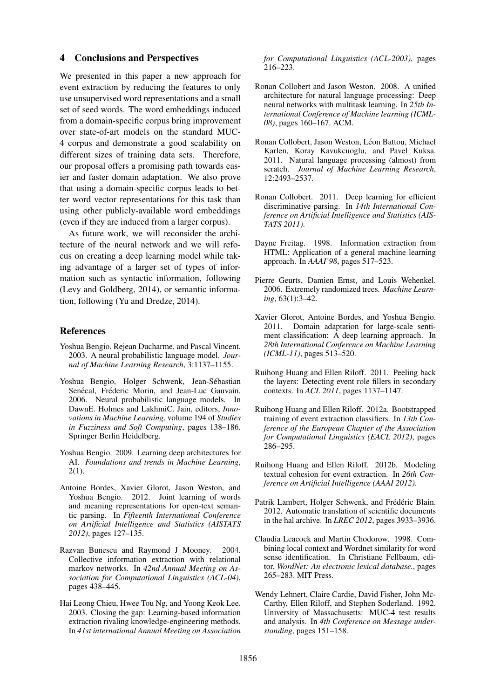#### 4 Conclusions and Perspectives

We presented in this paper a new approach for event extraction by reducing the features to only use unsupervised word representations and a small set of seed words. The word embeddings induced from a domain-specific corpus bring improvement over state-of-art models on the standard MUC-4 corpus and demonstrate a good scalability on different sizes of training data sets. Therefore, our proposal offers a promising path towards easier and faster domain adaptation. We also prove that using a domain-specific corpus leads to better word vector representations for this task than using other publicly-available word embeddings (even if they are induced from a larger corpus).

As future work, we will reconsider the architecture of the neural network and we will refocus on creating a deep learning model while taking advantage of a larger set of types of information such as syntactic information, following (Levy and Goldberg, 2014), or semantic information, following (Yu and Dredze, 2014).

#### References

- Yoshua Bengio, Rejean Ducharme, and Pascal Vincent. 2003. A neural probabilistic language model. *Journal of Machine Learning Research*, 3:1137–1155.
- Yoshua Bengio, Holger Schwenk, Jean-Sebastian ´ Senécal, Fréderic Morin, and Jean-Luc Gauvain. 2006. Neural probabilistic language models. In DawnE. Holmes and LakhmiC. Jain, editors, *Innovations in Machine Learning*, volume 194 of *Studies in Fuzziness and Soft Computing*, pages 138–186. Springer Berlin Heidelberg.
- Yoshua Bengio. 2009. Learning deep architectures for AI. *Foundations and trends in Machine Learning*,  $2(1)$ .
- Antoine Bordes, Xavier Glorot, Jason Weston, and Yoshua Bengio. 2012. Joint learning of words and meaning representations for open-text semantic parsing. In *Fifteenth International Conference on Artificial Intelligence and Statistics (AISTATS 2012)*, pages 127–135.
- Razvan Bunescu and Raymond J Mooney. 2004. Collective information extraction with relational markov networks. In *42nd Annual Meeting on Association for Computational Linguistics (ACL-04)*, pages 438–445.
- Hai Leong Chieu, Hwee Tou Ng, and Yoong Keok Lee. 2003. Closing the gap: Learning-based information extraction rivaling knowledge-engineering methods. In *41st international Annual Meeting on Association*

*for Computational Linguistics (ACL-2003)*, pages  $216 - 223$ .

- Ronan Collobert and Jason Weston. 2008. A unified architecture for natural language processing: Deep neural networks with multitask learning. In *25th International Conference of Machine learning (ICML-08)*, pages 160–167. ACM.
- Ronan Collobert, Jason Weston, Léon Battou, Michael Karlen, Koray Kavukcuoglu, and Pavel Kuksa. 2011. Natural language processing (almost) from scratch. *Journal of Machine Learning Research*, 12:2493–2537.
- Ronan Collobert. 2011. Deep learning for efficient discriminative parsing. In *14th International Conference on Artificial Intelligence and Statistics (AIS-TATS 2011)*.
- Dayne Freitag. 1998. Information extraction from HTML: Application of a general machine learning approach. In *AAAI'98*, pages 517–523.
- Pierre Geurts, Damien Ernst, and Louis Wehenkel. 2006. Extremely randomized trees. *Machine Learning*, 63(1):3–42.
- Xavier Glorot, Antoine Bordes, and Yoshua Bengio. 2011. Domain adaptation for large-scale sentiment classification: A deep learning approach. In *28th International Conference on Machine Learning (ICML-11)*, pages 513–520.
- Ruihong Huang and Ellen Riloff. 2011. Peeling back the layers: Detecting event role fillers in secondary contexts. In *ACL 2011*, pages 1137–1147.
- Ruihong Huang and Ellen Riloff. 2012a. Bootstrapped training of event extraction classifiers. In *13th Conference of the European Chapter of the Association for Computational Linguistics (EACL 2012)*, pages 286–295.
- Ruihong Huang and Ellen Riloff. 2012b. Modeling textual cohesion for event extraction. In *26th Conference on Artificial Intelligence (AAAI 2012)*.
- Patrik Lambert, Holger Schwenk, and Frédéric Blain. 2012. Automatic translation of scientific documents in the hal archive. In *LREC 2012*, pages 3933–3936.
- Claudia Leacock and Martin Chodorow. 1998. Combining local context and Wordnet similarity for word sense identification. In Christiane Fellbaum, editor, *WordNet: An electronic lexical database.*, pages 265–283. MIT Press.
- Wendy Lehnert, Claire Cardie, David Fisher, John Mc-Carthy, Ellen Riloff, and Stephen Soderland. 1992. University of Massachusetts: MUC-4 test results and analysis. In *4th Conference on Message understanding*, pages 151–158.